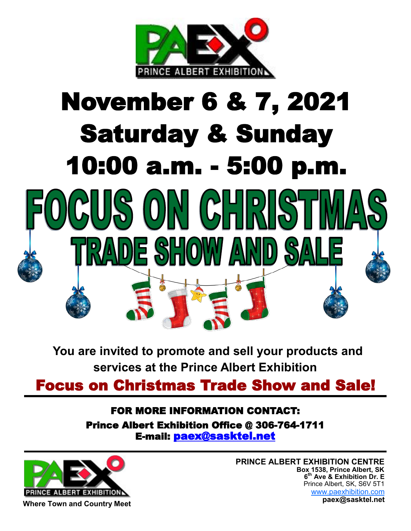

# **November 6 & 7, 2021 Saturday & Sunday 10:00 a.m. - 5:00 p.m.**SONGHRI ANDE SHOW AN

**You are invited to promote and sell your products and services at the Prince Albert Exhibition**

**Focus on Christmas Trade Show and Sale!**

## **FOR MORE INFORMATION CONTACT: Prince Albert Exhibition Office @ 306-764-1711 E-mail: paex@sasktel.net**



**PRINCE ALBERT EXHIBITION CENTRE Box 1538, Prince Albert, SK 6 th Ave & Exhibition Dr. E** Prince Albert, SK, S6V 5T1 www.paexhibition.com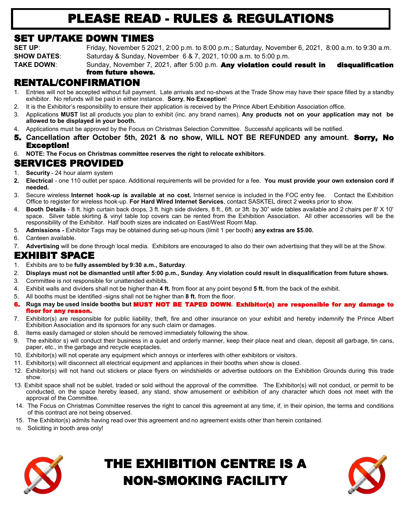# **PLEASE READ - RULES & REGULATIONS**

#### **SET UP/TAKE DOWN TIMES**

**SET UP**: Friday, November 5 2021, 2:00 p.m. to 8:00 p.m.; Saturday, November 6, 2021, 8:00 a.m. to 9:30 a.m. **SHOW DATES:** Saturday & Sunday, November 6 & 7, 2021, 10:00 a.m. to 5:00 p.m. **TAKE DOWN**: Sunday, November 7, 2021, after 5:00 p.m. **Any violation could result in disqualification**

# **from future shows.**

#### **RENTAL/CONFIRMATION**

- 1. Entries will not be accepted without full payment. Late arrivals and no-shows at the Trade Show may have their space filled by a standby exhibitor. No refunds will be paid in either instance. **Sorry**, **No Exception**!
- 2. It is the Exhibitor's responsibility to ensure their application is received by the Prince Albert Exhibition Association office.
- 3. Applications **MUST** list all products you plan to exhibit (inc. any brand names). **Any products not on your application may not be allowed to be displayed in your booth.**
- 4. Applications must be approved by the Focus on Christmas Selection Committee. Successful applicants will be notified.
- **5. Cancellation after October 5th, 2021 & no show, WILL NOT BE REFUNDED any amount. Sorry, No Exception!**
- 6. **NOTE: The Focus on Christmas committee reserves the right to relocate exhibitors**.

#### **SERVICES PROVIDED**

- 1. **Security** 24 hour alarm system
- **2. Electrical** one 110 outlet per space. Additional requirements will be provided for a fee. **You must provide your own extension cord if needed.**
- 3. Secure wireless **Internet hook-up is available at no cost.** Internet service is included in the FOC entry fee. Contact the Exhibition Office to register for wireless hook-up. **For Hard Wired Internet Services**, contact SASKTEL direct 2 weeks prior to show.
- 4. **Booth Details** 8 ft. high curtain back drops, 3 ft. high side dividers, 8 ft., 6ft. or 3ft. by 30" wide tables available and 2 chairs per 8' X 10' space. Silver table skirting & vinyl table top covers can be rented from the Exhibition Association. All other accessories will be the responsibility of the Exhibitor. Half booth sizes are indicated on East/West Room Map.
- 5. **Admissions -** Exhibitor Tags may be obtained during set-up hours (limit 1 per booth) **any extras are \$5.00.**
- 6. Canteen available.
- 7. **Advertising** will be done through local media. Exhibitors are encouraged to also do their own advertising that they will be at the Show.

#### **EXHIBIT SPACE**

- 1. Exhibits are to be **fully assembled by 9:30 a.m., Saturday**.
- 2. **Displays must not be dismantled until after 5:00 p.m., Sunday**. **Any violation could result in disqualification from future shows.**
- 3. Committee is not responsible for unattended exhibits.
- 4. Exhibit walls and dividers shall not be higher than **4 ft.** from floor at any point beyond **5 ft.** from the back of the exhibit.
- 5. All booths must be identified -signs shall not be higher than **8 ft.** from the floor.
- **6. Rugs may be used inside booths but MUST NOT BE TAPED DOWN. Exhibitor(s) are responsible for any damage to floor for any reason.**
- 7. Exhibitor(s) are responsible for public liability, theft, fire and other insurance on your exhibit and hereby indemnify the Prince Albert Exhibition Association and its sponsors for any such claim or damages.
- 8. Items easily damaged or stolen should be removed immediately following the show.
- 9. The exhibitor s) will conduct their business in a quiet and orderly manner, keep their place neat and clean, deposit all garbage, tin cans, paper, etc., in the garbage and recycle eceptacles.
- 10. Exhibitor(s) will not operate any equipment which annoys or interferes with other exhibitors or visitors.
- 11. Exhibitor(s) will disconnect all electrical equipment and appliances in their booths when show is closed.
- 12. Exhibitor(s) will not hand out stickers or place flyers on windshields or advertise outdoors on the Exhibition Grounds during this trade show.
- 13. Exhibit space shall not be sublet, traded or sold without the approval of the committee. The Exhibitor(s) will not conduct, or permit to be conducted, on the space hereby leased, any stand, show amusement or exhibition of any character which does not meet with the approval of the Committee.
- 14. The Focus on Christmas Committee reserves the right to cancel this agreement at any time, if, in their opinion, the terms and conditions of this contract are not being observed.
- 15. The Exhibitor(s) admits having read over this agreement and no agreement exists other than herein contained.
- 16. Soliciting in booth area only!



# **THE EXHIBITION CENTRE IS A NON-SMOKING FACILITY**

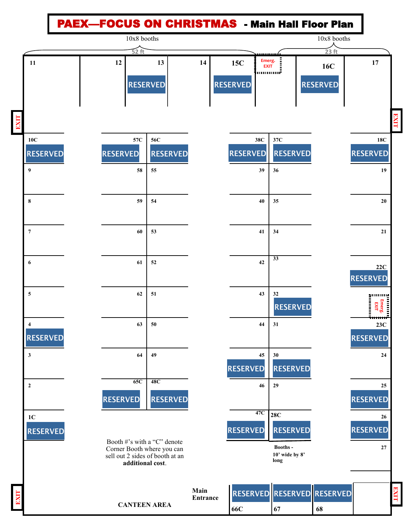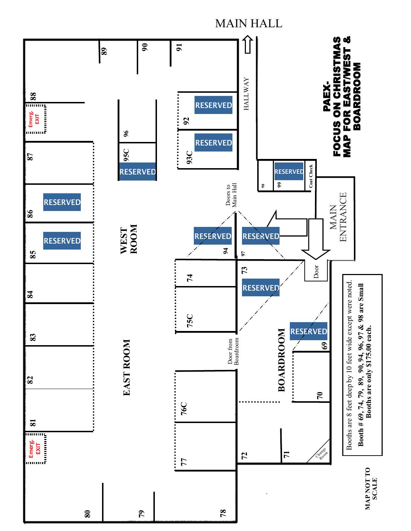